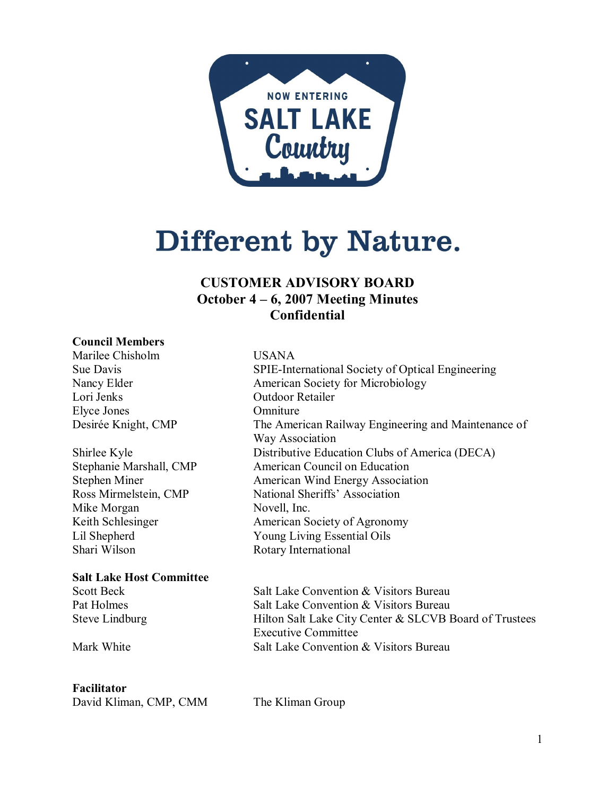

# Different by Nature.

## **CUSTOMER ADVISORY BOARD October 4 – 6, 2007 Meeting Minutes Confidential**

#### **Council Members**

Marilee Chisholm USANA Lori Jenks Outdoor Retailer Elyce Jones Omniture

Mike Morgan Novell, Inc.

#### **Salt Lake Host Committee**

#### **Facilitator**

David Kliman, CMP, CMM The Kliman Group

Sue Davis SPIE-International Society of Optical Engineering Nancy Elder **American Society for Microbiology** Desirée Knight, CMP The American Railway Engineering and Maintenance of Way Association Shirlee Kyle Distributive Education Clubs of America (DECA) Stephanie Marshall, CMP American Council on Education Stephen Miner **American Wind Energy Association**<br>
Ross Mirmelstein, CMP National Sheriffs' Association National Sheriffs' Association American Society of Agronomy Lil Shepherd Young Living Essential Oils<br>
Shari Wilson Rotary International Rotary International

Scott Beck Salt Lake Convention & Visitors Bureau Pat Holmes Salt Lake Convention & Visitors Bureau Steve Lindburg Hilton Salt Lake City Center & SLCVB Board of Trustees Executive Committee Mark White **Salt Lake Convention & Visitors Bureau**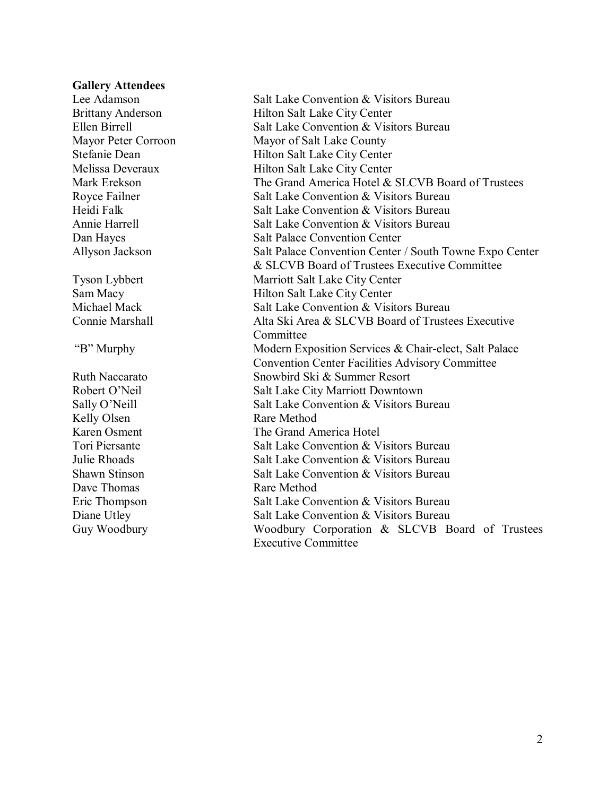#### **Gallery Attendees**

Kelly Olsen Rare Method<br>Karen Osment The Grand A Dave Thomas Rare Method

Lee Adamson Salt Lake Convention & Visitors Bureau Brittany Anderson 
Hilton Salt Lake City Center Ellen Birrell Salt Lake Convention & Visitors Bureau Mayor Peter Corroon Mayor of Salt Lake County Stefanie Dean Hilton Salt Lake City Center Melissa Deveraux Hilton Salt Lake City Center Mark Erekson The Grand America Hotel & SLCVB Board of Trustees Royce Failner Salt Lake Convention & Visitors Bureau Heidi Falk Salt Lake Convention & Visitors Bureau Annie Harrell Salt Lake Convention & Visitors Bureau Dan Hayes Salt Palace Convention Center Allyson Jackson **Salt Palace Convention Center / South Towne Expo Center** & SLCVB Board of Trustees Executive Committee Tyson Lybbert Marriott Salt Lake City Center<br>
Sam Macy Hilton Salt Lake City Center Hilton Salt Lake City Center Michael Mack **Salt Lake Convention & Visitors Bureau** Connie Marshall **Alta Ski Area & SLCVB** Board of Trustees Executive Committee "B" Murphy Modern Exposition Services & Chair-elect, Salt Palace Convention Center Facilities Advisory Committee Ruth Naccarato Snowbird Ski & Summer Resort Robert O'Neil Salt Lake City Marriott Downtown Sally O'Neill Salt Lake Convention & Visitors Bureau The Grand America Hotel Tori Piersante **Salt Lake Convention & Visitors Bureau** Julie Rhoads Salt Lake Convention & Visitors Bureau Shawn Stinson **Shawn Stinson** Salt Lake Convention & Visitors Bureau Eric Thompson **Salt Lake Convention & Visitors Bureau** Diane Utley Salt Lake Convention & Visitors Bureau Guy Woodbury **Woodbury Corporation & SLCVB** Board of Trustees Executive Committee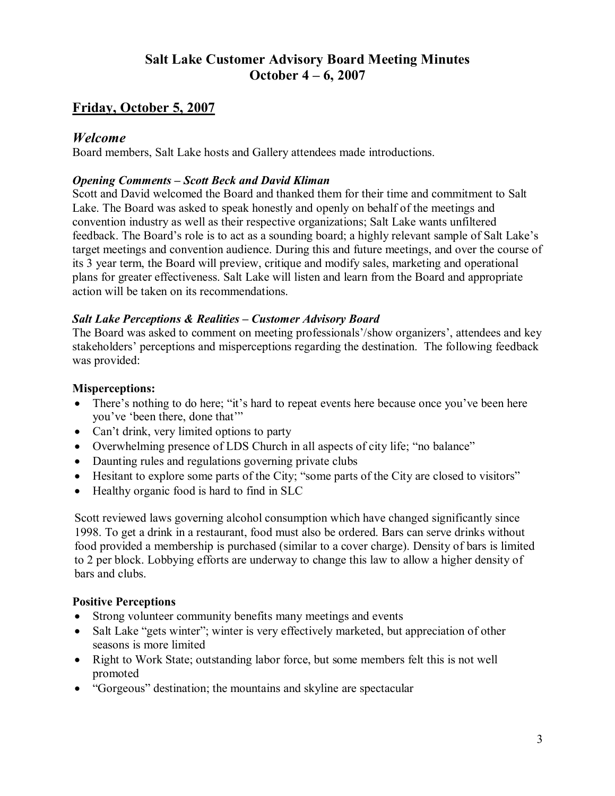## **Salt Lake Customer Advisory Board Meeting Minutes October 4 – 6, 2007**

## **Friday, October 5, 2007**

## *Welcome*

Board members, Salt Lake hosts and Gallery attendees made introductions.

#### *Opening Comments – Scott Beck and David Kliman*

Scott and David welcomed the Board and thanked them for their time and commitment to Salt Lake. The Board was asked to speak honestly and openly on behalf of the meetings and convention industry as well as their respective organizations; Salt Lake wants unfiltered feedback. The Board's role is to act as a sounding board; a highly relevant sample of Salt Lake's target meetings and convention audience. During this and future meetings, and over the course of its 3 year term, the Board will preview, critique and modify sales, marketing and operational plans for greater effectiveness. Salt Lake will listen and learn from the Board and appropriate action will be taken on its recommendations.

#### *Salt Lake Perceptions & Realities – Customer Advisory Board*

The Board was asked to comment on meeting professionals'/show organizers', attendees and key stakeholders' perceptions and misperceptions regarding the destination. The following feedback was provided:

#### **Misperceptions:**

- There's nothing to do here; "it's hard to repeat events here because once you've been here you've 'been there, done that'"
- Can't drink, very limited options to party
- · Overwhelming presence of LDS Church in all aspects of city life; "no balance"
- Daunting rules and regulations governing private clubs
- Hesitant to explore some parts of the City; "some parts of the City are closed to visitors"
- Healthy organic food is hard to find in SLC

Scott reviewed laws governing alcohol consumption which have changed significantly since 1998. To get a drink in a restaurant, food must also be ordered. Bars can serve drinks without food provided a membership is purchased (similar to a cover charge). Density of bars is limited to 2 per block. Lobbying efforts are underway to change this law to allow a higher density of bars and clubs.

#### **Positive Perceptions**

- Strong volunteer community benefits many meetings and events
- Salt Lake "gets winter"; winter is very effectively marketed, but appreciation of other seasons is more limited
- Right to Work State; outstanding labor force, but some members felt this is not well promoted
- · "Gorgeous" destination; the mountains and skyline are spectacular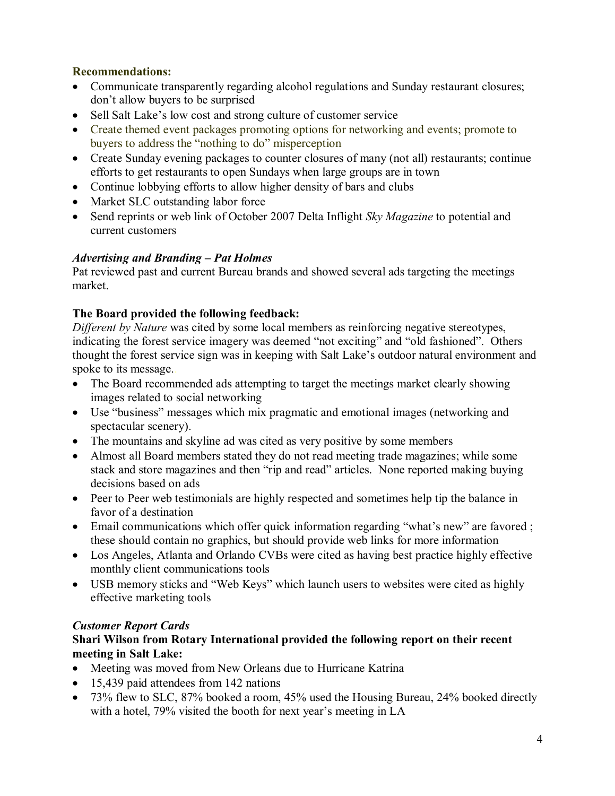## **Recommendations:**

- Communicate transparently regarding alcohol regulations and Sunday restaurant closures; don't allow buyers to be surprised
- Sell Salt Lake's low cost and strong culture of customer service
- Create themed event packages promoting options for networking and events; promote to buyers to address the "nothing to do" misperception
- Create Sunday evening packages to counter closures of many (not all) restaurants; continue efforts to get restaurants to open Sundays when large groups are in town
- · Continue lobbying efforts to allow higher density of bars and clubs
- Market SLC outstanding labor force
- · Send reprints or web link of October 2007 Delta Inflight *Sky Magazine* to potential and current customers

## *Advertising and Branding – Pat Holmes*

Pat reviewed past and current Bureau brands and showed several ads targeting the meetings market.

## **The Board provided the following feedback:**

*Different by Nature* was cited by some local members as reinforcing negative stereotypes, indicating the forest service imagery was deemed "not exciting" and "old fashioned". Others thought the forest service sign was in keeping with Salt Lake's outdoor natural environment and spoke to its message..

- The Board recommended ads attempting to target the meetings market clearly showing images related to social networking
- · Use "business" messages which mix pragmatic and emotional images (networking and spectacular scenery).
- The mountains and skyline ad was cited as very positive by some members
- Almost all Board members stated they do not read meeting trade magazines; while some stack and store magazines and then "rip and read" articles. None reported making buying decisions based on ads
- Peer to Peer web testimonials are highly respected and sometimes help tip the balance in favor of a destination
- Email communications which offer quick information regarding "what's new" are favored; these should contain no graphics, but should provide web links for more information
- · Los Angeles, Atlanta and Orlando CVBs were cited as having best practice highly effective monthly client communications tools
- USB memory sticks and "Web Keys" which launch users to websites were cited as highly effective marketing tools

## *Customer Report Cards*

## **Shari Wilson from Rotary International provided the following report on their recent meeting in Salt Lake:**

- Meeting was moved from New Orleans due to Hurricane Katrina
- 15,439 paid attendees from 142 nations
- · 73% flew to SLC, 87% booked a room, 45% used the Housing Bureau, 24% booked directly with a hotel, 79% visited the booth for next year's meeting in LA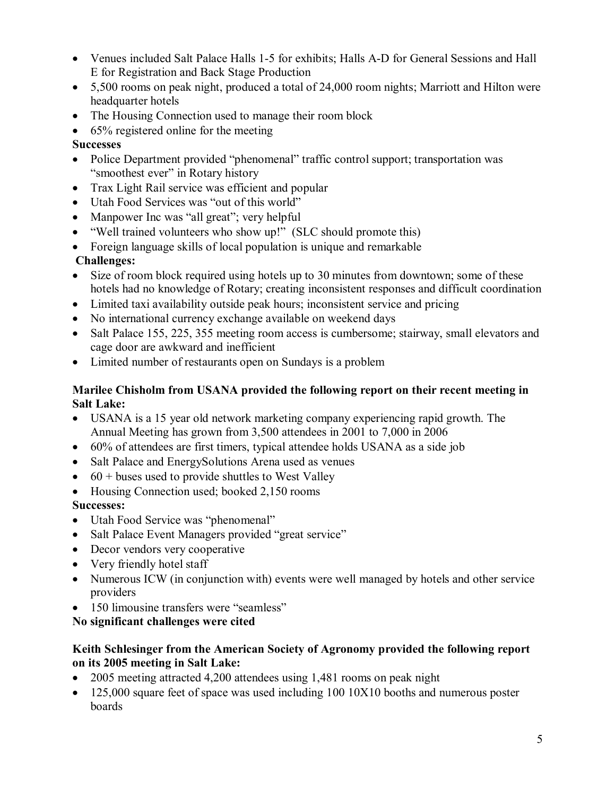- Venues included Salt Palace Halls 1-5 for exhibits; Halls A-D for General Sessions and Hall E for Registration and Back Stage Production
- 5,500 rooms on peak night, produced a total of 24,000 room nights; Marriott and Hilton were headquarter hotels
- The Housing Connection used to manage their room block
- $\bullet$  65% registered online for the meeting

## **Successes**

- Police Department provided "phenomenal" traffic control support; transportation was "smoothest ever" in Rotary history
- Trax Light Rail service was efficient and popular
- · Utah Food Services was "out of this world"
- · Manpower Inc was "all great"; very helpful
- "Well trained volunteers who show up!" (SLC should promote this)
- Foreign language skills of local population is unique and remarkable

## **Challenges:**

- Size of room block required using hotels up to 30 minutes from downtown; some of these hotels had no knowledge of Rotary; creating inconsistent responses and difficult coordination
- Limited taxi availability outside peak hours; inconsistent service and pricing
- · No international currency exchange available on weekend days
- Salt Palace 155, 225, 355 meeting room access is cumbersome; stairway, small elevators and cage door are awkward and inefficient
- Limited number of restaurants open on Sundays is a problem

## **Marilee Chisholm from USANA provided the following report on their recent meeting in Salt Lake:**

- · USANA is a 15 year old network marketing company experiencing rapid growth. The Annual Meeting has grown from 3,500 attendees in 2001 to 7,000 in 2006
- 60% of attendees are first timers, typical attendee holds USANA as a side job
- Salt Palace and EnergySolutions Arena used as venues
- $\bullet$  60 + buses used to provide shuttles to West Valley
- Housing Connection used; booked 2,150 rooms

## **Successes:**

- · Utah Food Service was "phenomenal"
- Salt Palace Event Managers provided "great service"
- Decor vendors very cooperative
- Very friendly hotel staff
- Numerous ICW (in conjunction with) events were well managed by hotels and other service providers
- 150 limousine transfers were "seamless"

## **No significant challenges were cited**

## **Keith Schlesinger from the American Society of Agronomy provided the following report on its 2005 meeting in Salt Lake:**

- · 2005 meeting attracted 4,200 attendees using 1,481 rooms on peak night
- $125,000$  square feet of space was used including  $100,10X10$  booths and numerous poster boards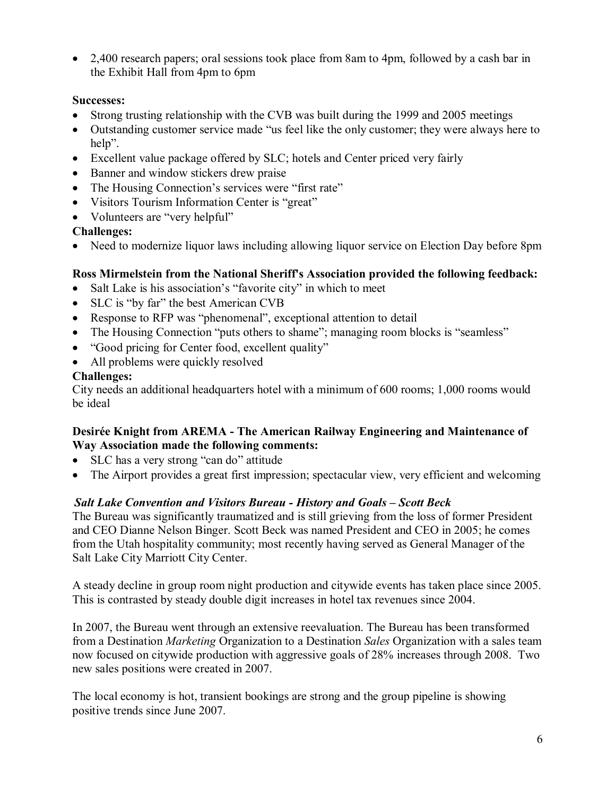• 2,400 research papers; oral sessions took place from 8am to 4pm, followed by a cash bar in the Exhibit Hall from 4pm to 6pm

## **Successes:**

- · Strong trusting relationship with the CVB was built during the 1999 and 2005 meetings
- · Outstanding customer service made "us feel like the only customer; they were always here to help".
- Excellent value package offered by SLC; hotels and Center priced very fairly
- Banner and window stickers drew praise
- The Housing Connection's services were "first rate"
- Visitors Tourism Information Center is "great"
- Volunteers are "very helpful"

## **Challenges:**

• Need to modernize liquor laws including allowing liquor service on Election Day before 8pm

## **Ross Mirmelstein from the National Sheriff's Association provided the following feedback:**

- Salt Lake is his association's "favorite city" in which to meet
- SLC is "by far" the best American CVB
- · Response to RFP was "phenomenal", exceptional attention to detail
- The Housing Connection "puts others to shame"; managing room blocks is "seamless"
- "Good pricing for Center food, excellent quality"
- All problems were quickly resolved

## **Challenges:**

City needs an additional headquarters hotel with a minimum of 600 rooms; 1,000 rooms would be ideal

#### **Desirée Knight from AREMA The American Railway Engineering and Maintenance of Way Association made the following comments:**

- SLC has a very strong "can do" attitude
- · The Airport provides a great first impression; spectacular view, very efficient and welcoming

## *Salt Lake Convention and Visitors Bureau History and Goals – Scott Beck*

The Bureau was significantly traumatized and is still grieving from the loss of former President and CEO Dianne Nelson Binger. Scott Beck was named President and CEO in 2005; he comes from the Utah hospitality community; most recently having served as General Manager of the Salt Lake City Marriott City Center.

A steady decline in group room night production and citywide events has taken place since 2005. This is contrasted by steady double digit increases in hotel tax revenues since 2004.

In 2007, the Bureau went through an extensive reevaluation. The Bureau has been transformed from a Destination *Marketing* Organization to a Destination *Sales* Organization with a sales team now focused on citywide production with aggressive goals of 28% increases through 2008. Two new sales positions were created in 2007.

The local economy is hot, transient bookings are strong and the group pipeline is showing positive trends since June 2007.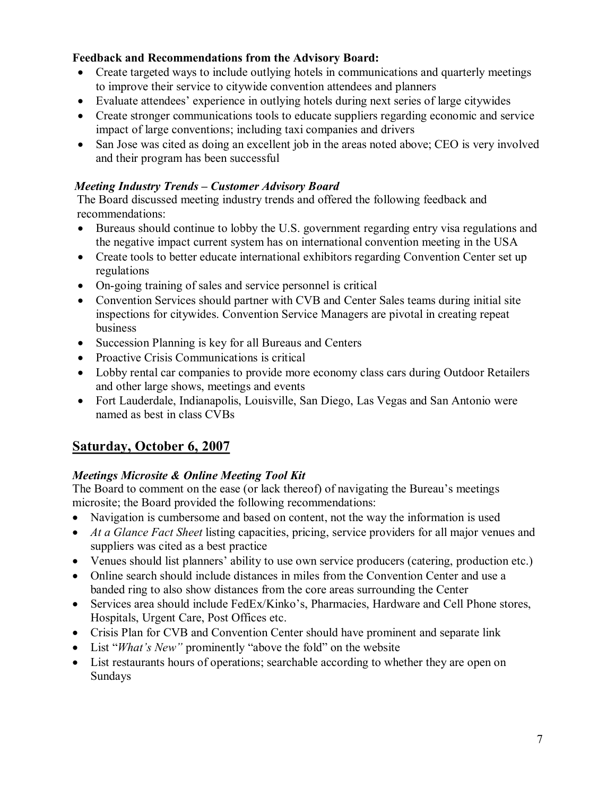## **Feedback and Recommendations from the Advisory Board:**

- Create targeted ways to include outlying hotels in communications and quarterly meetings to improve their service to citywide convention attendees and planners
- · Evaluate attendees' experience in outlying hotels during next series of large citywides
- · Create stronger communications tools to educate suppliers regarding economic and service impact of large conventions; including taxi companies and drivers
- San Jose was cited as doing an excellent job in the areas noted above; CEO is very involved and their program has been successful

## *Meeting Industry Trends – Customer Advisory Board*

The Board discussed meeting industry trends and offered the following feedback and recommendations:

- · Bureaus should continue to lobby the U.S. government regarding entry visa regulations and the negative impact current system has on international convention meeting in the USA
- Create tools to better educate international exhibitors regarding Convention Center set up regulations
- On-going training of sales and service personnel is critical
- Convention Services should partner with CVB and Center Sales teams during initial site inspections for citywides. Convention Service Managers are pivotal in creating repeat business
- · Succession Planning is key for all Bureaus and Centers
- Proactive Crisis Communications is critical
- Lobby rental car companies to provide more economy class cars during Outdoor Retailers and other large shows, meetings and events
- Fort Lauderdale, Indianapolis, Louisville, San Diego, Las Vegas and San Antonio were named as best in class CVBs

## **Saturday, October 6, 2007**

## *Meetings Microsite & Online Meeting Tool Kit*

The Board to comment on the ease (or lack thereof) of navigating the Bureau's meetings microsite; the Board provided the following recommendations:

- · Navigation is cumbersome and based on content, not the way the information is used
- · *At a Glance Fact Sheet* listing capacities, pricing, service providers for all major venues and suppliers was cited as a best practice
- · Venues should list planners' ability to use own service producers (catering, production etc.)
- Online search should include distances in miles from the Convention Center and use a banded ring to also show distances from the core areas surrounding the Center
- · Services area should include FedEx/Kinko's, Pharmacies, Hardware and Cell Phone stores, Hospitals, Urgent Care, Post Offices etc.
- · Crisis Plan for CVB and Convention Center should have prominent and separate link
- · List "*What's New"* prominently "above the fold" on the website
- List restaurants hours of operations; searchable according to whether they are open on Sundays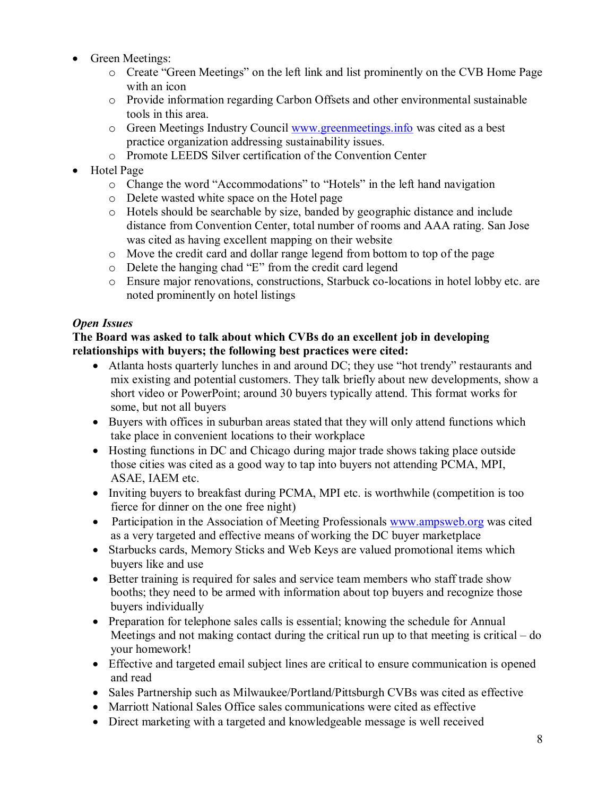- Green Meetings:
	- o Create "Green Meetings" on the left link and list prominently on the CVB Home Page with an icon
	- o Provide information regarding Carbon Offsets and other environmental sustainable tools in this area.
	- o Green Meetings Industry Council [www.greenmeetings.info](http://www.greenmeetings.info/) was cited as a best practice organization addressing sustainability issues.
	- o Promote LEEDS Silver certification of the Convention Center
- · Hotel Page
	- o Change the word "Accommodations" to "Hotels" in the left hand navigation
	- o Delete wasted white space on the Hotel page
	- o Hotels should be searchable by size, banded by geographic distance and include distance from Convention Center, total number of rooms and AAA rating. San Jose was cited as having excellent mapping on their website
	- o Move the credit card and dollar range legend from bottom to top of the page
	- o Delete the hanging chad "E" from the credit card legend
	- o Ensure major renovations, constructions, Starbuck co-locations in hotel lobby etc. are noted prominently on hotel listings

## *Open Issues*

#### **The Board was asked to talk about which CVBs do an excellent job in developing relationships with buyers; the following best practices were cited:**

- Atlanta hosts quarterly lunches in and around DC; they use "hot trendy" restaurants and mix existing and potential customers. They talk briefly about new developments, show a short video or PowerPoint; around 30 buyers typically attend. This format works for some, but not all buyers
- · Buyers with offices in suburban areas stated that they will only attend functions which take place in convenient locations to their workplace
- Hosting functions in DC and Chicago during major trade shows taking place outside those cities was cited as a good way to tap into buyers not attending PCMA, MPI, ASAE, IAEM etc.
- Inviting buyers to breakfast during PCMA, MPI etc. is worthwhile (competition is too fierce for dinner on the one free night)
- Participation in the Association of Meeting Professionals [www.ampsweb.org](http://www.ampsweb.org/) was cited as a very targeted and effective means of working the DC buyer marketplace
- Starbucks cards, Memory Sticks and Web Keys are valued promotional items which buyers like and use
- Better training is required for sales and service team members who staff trade show booths; they need to be armed with information about top buyers and recognize those buyers individually
- Preparation for telephone sales calls is essential; knowing the schedule for Annual Meetings and not making contact during the critical run up to that meeting is critical – do your homework!
- · Effective and targeted email subject lines are critical to ensure communication is opened and read
- · Sales Partnership such as Milwaukee/Portland/Pittsburgh CVBs was cited as effective
- · Marriott National Sales Office sales communications were cited as effective
- · Direct marketing with a targeted and knowledgeable message is well received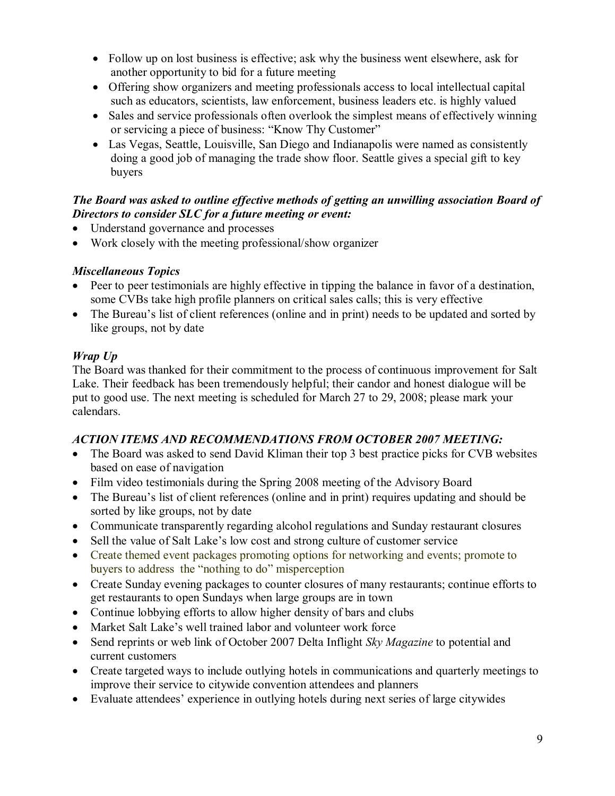- Follow up on lost business is effective; ask why the business went elsewhere, ask for another opportunity to bid for a future meeting
- · Offering show organizers and meeting professionals access to local intellectual capital such as educators, scientists, law enforcement, business leaders etc. is highly valued
- Sales and service professionals often overlook the simplest means of effectively winning or servicing a piece of business: "Know Thy Customer"
- Las Vegas, Seattle, Louisville, San Diego and Indianapolis were named as consistently doing a good job of managing the trade show floor. Seattle gives a special gift to key buyers

## *The Board was asked to outline effective methods of getting an unwilling association Board of Directors to consider SLC for a future meeting or event:*

- · Understand governance and processes
- Work closely with the meeting professional/show organizer

## *Miscellaneous Topics*

- · Peer to peer testimonials are highly effective in tipping the balance in favor of a destination, some CVBs take high profile planners on critical sales calls; this is very effective
- The Bureau's list of client references (online and in print) needs to be updated and sorted by like groups, not by date

## *Wrap Up*

The Board was thanked for their commitment to the process of continuous improvement for Salt Lake. Their feedback has been tremendously helpful; their candor and honest dialogue will be put to good use. The next meeting is scheduled for March 27 to 29, 2008; please mark your calendars.

## *ACTION ITEMS AND RECOMMENDATIONS FROM OCTOBER 2007 MEETING:*

- · The Board was asked to send David Kliman their top 3 best practice picks for CVB websites based on ease of navigation
- Film video testimonials during the Spring 2008 meeting of the Advisory Board
- The Bureau's list of client references (online and in print) requires updating and should be sorted by like groups, not by date
- Communicate transparently regarding alcohol regulations and Sunday restaurant closures
- · Sell the value of Salt Lake's low cost and strong culture of customer service
- Create themed event packages promoting options for networking and events; promote to buyers to address the "nothing to do" misperception
- Create Sunday evening packages to counter closures of many restaurants; continue efforts to get restaurants to open Sundays when large groups are in town
- Continue lobbying efforts to allow higher density of bars and clubs
- Market Salt Lake's well trained labor and volunteer work force
- · Send reprints or web link of October 2007 Delta Inflight *Sky Magazine* to potential and current customers
- Create targeted ways to include outlying hotels in communications and quarterly meetings to improve their service to citywide convention attendees and planners
- · Evaluate attendees' experience in outlying hotels during next series of large citywides